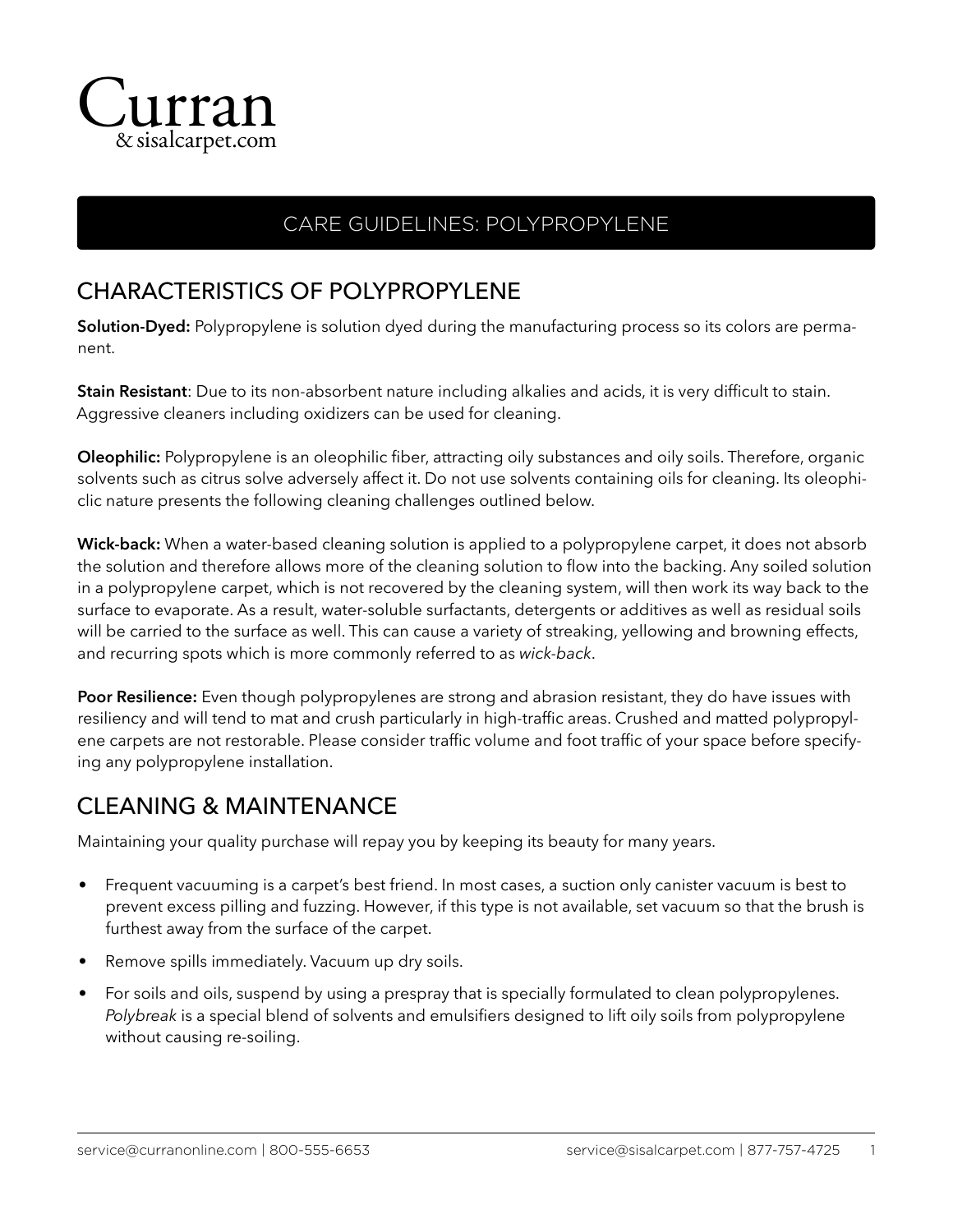

## CARE GUIDELINES: POLYPROPYLENE

## CHARACTERISTICS OF POLYPROPYLENE

**Solution-Dyed:** Polypropylene is solution dyed during the manufacturing process so its colors are permanent.

**Stain Resistant**: Due to its non-absorbent nature including alkalies and acids, it is very difficult to stain. Aggressive cleaners including oxidizers can be used for cleaning.

**Oleophilic:** Polypropylene is an oleophilic fiber, attracting oily substances and oily soils. Therefore, organic solvents such as citrus solve adversely affect it. Do not use solvents containing oils for cleaning. Its oleophiclic nature presents the following cleaning challenges outlined below.

**Wick-back:** When a water-based cleaning solution is applied to a polypropylene carpet, it does not absorb the solution and therefore allows more of the cleaning solution to flow into the backing. Any soiled solution in a polypropylene carpet, which is not recovered by the cleaning system, will then work its way back to the surface to evaporate. As a result, water-soluble surfactants, detergents or additives as well as residual soils will be carried to the surface as well. This can cause a variety of streaking, yellowing and browning effects, and recurring spots which is more commonly referred to as *wick-back*.

**Poor Resilience:** Even though polypropylenes are strong and abrasion resistant, they do have issues with resiliency and will tend to mat and crush particularly in high-traffic areas. Crushed and matted polypropylene carpets are not restorable. Please consider traffic volume and foot traffic of your space before specifying any polypropylene installation.

## CLEANING & MAINTENANCE

Maintaining your quality purchase will repay you by keeping its beauty for many years.

- Frequent vacuuming is a carpet's best friend. In most cases, a suction only canister vacuum is best to prevent excess pilling and fuzzing. However, if this type is not available, set vacuum so that the brush is furthest away from the surface of the carpet.
- Remove spills immediately. Vacuum up dry soils.
- For soils and oils, suspend by using a prespray that is specially formulated to clean polypropylenes. *Polybreak* is a special blend of solvents and emulsifiers designed to lift oily soils from polypropylene without causing re-soiling.